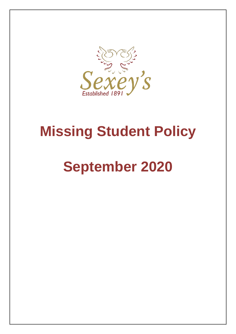

## **Missing Student Policy**

# **September 2020**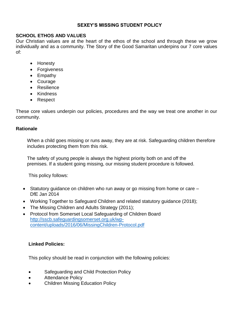#### **SEXEY'S MISSING STUDENT POLICY**

#### **SCHOOL ETHOS AND VALUES**

Our Christian values are at the heart of the ethos of the school and through these we grow individually and as a community. The Story of the Good Samaritan underpins our 7 core values of:

- Honesty
- Forgiveness
- Empathy
- Courage
- Resilience
- Kindness
- Respect

These core values underpin our policies, procedures and the way we treat one another in our community.

#### **Rationale**

When a child goes missing or runs away, they are at risk. Safeguarding children therefore includes protecting them from this risk.

The safety of young people is always the highest priority both on and off the premises. If a student going missing, our missing student procedure is followed.

This policy follows:

- Statutory guidance on children who run away or go missing from home or care DfE Jan 2014
- Working Together to Safeguard Children and related statutory guidance (2018);
- The Missing Children and Adults Strategy (2011);
- Protocol from Somerset Local Safeguarding of Children Board [http://sscb.safeguardingsomerset.org.uk/wp](http://sscb.safeguardingsomerset.org.uk/wp-content/uploads/2016/06/Missing-Children-Protocol.pdf)[content/uploads/2016/06/MissingChildren-Protocol.pdf](http://sscb.safeguardingsomerset.org.uk/wp-content/uploads/2016/06/Missing-Children-Protocol.pdf)

#### **Linked Policies:**

This policy should be read in conjunction with the following policies:

- Safeguarding and Child Protection Policy
- Attendance Policy
- Children Missing Education Policy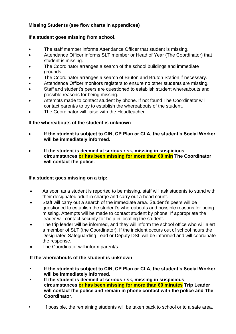#### **Missing Students (see flow charts in appendices)**

#### **If a student goes missing from school.**

- The staff member informs Attendance Officer that student is missing.
- Attendance Officer informs SLT member or Head of Year (The Coordinator) that student is missing.
- The Coordinator arranges a search of the school buildings and immediate grounds.
- The Coordinator arranges a search of Bruton and Bruton Station if necessary.
- Attendance Officer monitors registers to ensure no other students are missing.
- Staff and student's peers are questioned to establish student whereabouts and possible reasons for being missing.
- Attempts made to contact student by phone. If not found The Coordinator will contact parent/s to try to establish the whereabouts of the student.
- The Coordinator will liaise with the Headteacher.

#### **If the whereabouts of the student is unknown**

- **If the student is subject to CIN, CP Plan or CLA, the student's Social Worker will be immediately informed.**
- **If the student is deemed at serious risk, missing in suspicious circumstances or has been missing for more than 60 min The Coordinator will contact the police.**

#### **If a student goes missing on a trip:**

- As soon as a student is reported to be missing, staff will ask students to stand with their designated adult in charge and carry out a head count.
- Staff will carry out a search of the immediate area. Student's peers will be questioned to establish the student's whereabouts and possible reasons for being missing. Attempts will be made to contact student by phone. If appropriate the leader will contact security for help in locating the student.
- The trip leader will be informed, and they will inform the school office who will alert a member of SLT (the Coordinator). If the incident occurs out of school hours the Designated Safeguarding Lead or Deputy DSL will be informed and will coordinate the response.
- The Coordinator will inform parent/s.

#### **If the whereabouts of the student is unknown**

- **If the student is subject to CIN, CP Plan or CLA, the student's Social Worker will be immediately informed.**
- **If the student is deemed at serious risk, missing in suspicious circumstances or has been missing for more than 60 minutes Trip Leader will contact the police and remain in phone contact with the police and The Coordinator.**
- If possible, the remaining students will be taken back to school or to a safe area.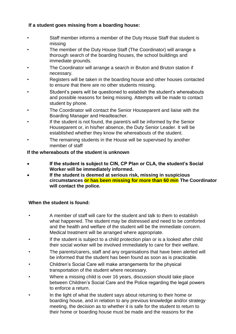#### **If a student goes missing from a boarding house:**

- Staff member informs a member of the Duty House Staff that student is missing
- The member of the Duty House Staff (The Coordinator) will arrange a thorough search of the boarding houses, the school buildings and immediate grounds.
- The Coordinator will arrange a search in Bruton and Bruton station if necessary.
- Registers will be taken in the boarding house and other houses contacted to ensure that there are no other students missing.
- Student's peers will be questioned to establish the student's whereabouts and possible reasons for being missing. Attempts will be made to contact student by phone.
- The Coordinator will contact the Senior Houseparent and liaise with the Boarding Manager and Headteacher.
- If the student is not found, the parent/s will be informed by the Senior Houseparent or, in his/her absence, the Duty Senior Leader. It will be established whether they know the whereabouts of the student.
- The remaining students in the House will be supervised by another member of staff

#### **If the whereabouts of the student is unknown**

- **If the student is subject to CIN, CP Plan or CLA, the student's Social Worker will be immediately informed.**
- **If the student is deemed at serious risk, missing in suspicious circumstances or has been missing for more than 60 min The Coordinator will contact the police.**

#### **When the student is found:**

- A member of staff will care for the student and talk to them to establish what happened. The student may be distressed and need to be comforted and the health and welfare of the student will be the immediate concern. Medical treatment will be arranged where appropriate.
- If the student is subject to a child protection plan or is a looked after child their social worker will be involved immediately to care for their welfare.
- The parents/carers, staff and any organisations that have been alerted will be informed that the student has been found as soon as is practicable.
- Children's Social Care will make arrangements for the physical transportation of the student where necessary.
- Where a missing child is over 16 years, discussion should take place between Children's Social Care and the Police regarding the legal powers to enforce a return.
- In the light of what the student says about returning to their home or boarding house, and in relation to any previous knowledge and/or strategy meeting, the decision as to whether it is safe for the student to return to their home or boarding house must be made and the reasons for the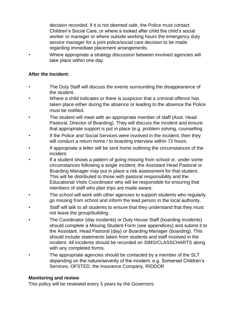decision recorded. If it is not deemed safe, the Police must contact Children's Social Care, or where a looked after child the child's social worker or manager or where outside working hours the emergency duty service manager for a joint police/social care decision to be made regarding immediate placement arrangements.

• Where appropriate a strategy discussion between involved agencies will take place within one day.

#### **After the Incident:**

- The Duty Staff will discuss the events surrounding the disappearance of the student.
- Where a child indicates or there is suspicion that a criminal offence has taken place either during the absence or leading to the absence the Police must be notified.
- The student will meet with an appropriate member of staff (Asst. Head Pastoral, Director of Boarding). They will discuss the incident and ensure that appropriate support is put in place (e.g. problem solving, counselling
- If the Police and Social Services were involved in the incident, then they will conduct a return home / to boarding interview within 72 hours.
- If appropriate a letter will be sent home outlining the circumstances of the incident.
- If a student shows a pattern of going missing from school or, under some circumstances following a single incident, the Assistant Head Pastoral or Boarding Manager may put in place a risk assessment for that student. This will be distributed to those with pastoral responsibility and the Educational Visits Coordinator who will be responsible for ensuring that members of staff who plan trips are made aware.
- The school will work with other agencies to support students who regularly go missing from school and inform the lead person in the local authority.
- Staff will talk to all students to ensure that they understand that they must not leave the group/building.
- The Coordinator (day incidents) or Duty House Staff (boarding incidents) should complete a Missing Student Form (see appendices) and submit it to the Assistant. Head Pastoral (day) or Boarding Manager (boarding). This should include statements taken from students and staff involved in the incident. All incidents should be recorded on SIMS/CLASSCHARTS along with any completed forms.
- The appropriate agencies should be contacted by a member of the SLT depending on the nature/severity of the incident. e.g. Somerset Children's Services, OFSTED, the Insurance Company, RIDDOR

#### **Monitoring and review**

This policy will be reviewed every 3 years by the Governors.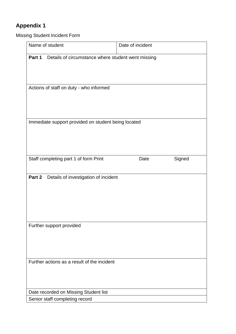## **Appendix 1**

Missing Student Incident Form

| Name of student                                                         | Date of incident |
|-------------------------------------------------------------------------|------------------|
| Part 1<br>Details of circumstance where student went missing            |                  |
| Actions of staff on duty - who informed                                 |                  |
| Immediate support provided on student being located                     |                  |
| Staff completing part 1 of form Print                                   | Signed<br>Date   |
| Part 2<br>Details of investigation of incident                          |                  |
| Further support provided                                                |                  |
| Further actions as a result of the incident                             |                  |
| Date recorded on Missing Student list<br>Senior staff completing record |                  |
|                                                                         |                  |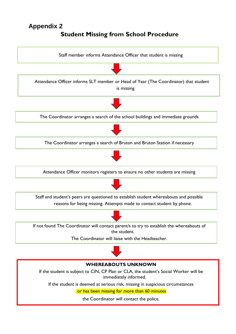## **Appendix 2**

## **Student Missing from School Procedure**

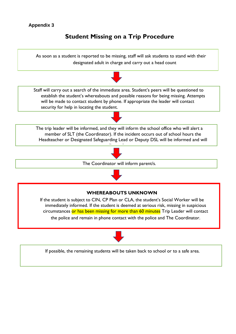#### **Appendix 3**

### **Student Missing on a Trip Procedure**



circumstances or has been missing for more than 60 minutes Trip Leader will contact

the police and remain in phone contact with the police and The Coordinator.



If possible, the remaining students will be taken back to school or to a safe area.